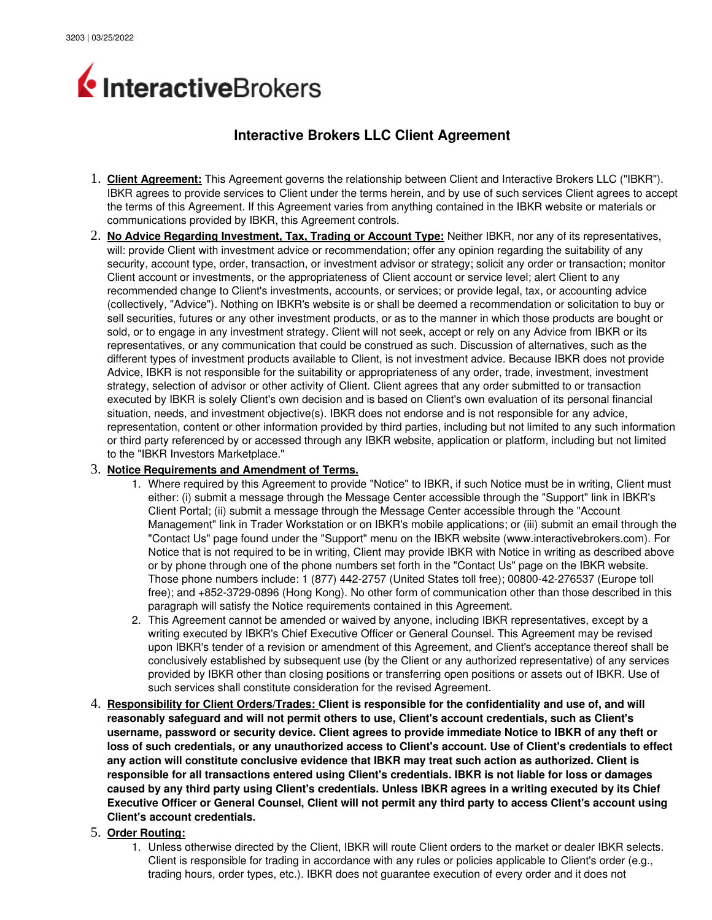

# **Interactive Brokers LLC Client Agreement**

- 1. **Client Agreement:** This Agreement governs the relationship between Client and Interactive Brokers LLC ("IBKR"). IBKR agrees to provide services to Client under the terms herein, and by use of such services Client agrees to accept the terms of this Agreement. If this Agreement varies from anything contained in the IBKR website or materials or communications provided by IBKR, this Agreement controls.
- 2. **No Advice Regarding Investment, Tax, Trading or Account Type:** Neither IBKR, nor any of its representatives, will: provide Client with investment advice or recommendation; offer any opinion regarding the suitability of any security, account type, order, transaction, or investment advisor or strategy; solicit any order or transaction; monitor Client account or investments, or the appropriateness of Client account or service level; alert Client to any recommended change to Client's investments, accounts, or services; or provide legal, tax, or accounting advice (collectively, "Advice"). Nothing on IBKR's website is or shall be deemed a recommendation or solicitation to buy or sell securities, futures or any other investment products, or as to the manner in which those products are bought or sold, or to engage in any investment strategy. Client will not seek, accept or rely on any Advice from IBKR or its representatives, or any communication that could be construed as such. Discussion of alternatives, such as the different types of investment products available to Client, is not investment advice. Because IBKR does not provide Advice, IBKR is not responsible for the suitability or appropriateness of any order, trade, investment, investment strategy, selection of advisor or other activity of Client. Client agrees that any order submitted to or transaction executed by IBKR is solely Client's own decision and is based on Client's own evaluation of its personal financial situation, needs, and investment objective(s). IBKR does not endorse and is not responsible for any advice, representation, content or other information provided by third parties, including but not limited to any such information or third party referenced by or accessed through any IBKR website, application or platform, including but not limited to the "IBKR Investors Marketplace."

#### 3. **Notice Requirements and Amendment of Terms.**

- 1. Where required by this Agreement to provide "Notice" to IBKR, if such Notice must be in writing, Client must either: (i) submit a message through the Message Center accessible through the "Support" link in IBKR's Client Portal; (ii) submit a message through the Message Center accessible through the "Account Management" link in Trader Workstation or on IBKR's mobile applications; or (iii) submit an email through the "Contact Us" page found under the "Support" menu on the IBKR website (www.interactivebrokers.com). For Notice that is not required to be in writing, Client may provide IBKR with Notice in writing as described above or by phone through one of the phone numbers set forth in the "Contact Us" page on the IBKR website. Those phone numbers include: 1 (877) 442-2757 (United States toll free); 00800-42-276537 (Europe toll free); and +852-3729-0896 (Hong Kong). No other form of communication other than those described in this paragraph will satisfy the Notice requirements contained in this Agreement.
- 2. This Agreement cannot be amended or waived by anyone, including IBKR representatives, except by a writing executed by IBKR's Chief Executive Officer or General Counsel. This Agreement may be revised upon IBKR's tender of a revision or amendment of this Agreement, and Client's acceptance thereof shall be conclusively established by subsequent use (by the Client or any authorized representative) of any services provided by IBKR other than closing positions or transferring open positions or assets out of IBKR. Use of such services shall constitute consideration for the revised Agreement.
- 4. **Responsibility for Client Orders/Trades: Client is responsible for the confidentiality and use of, and will reasonably safeguard and will not permit others to use, Client's account credentials, such as Client's username, password or security device. Client agrees to provide immediate Notice to IBKR of any theft or loss of such credentials, or any unauthorized access to Client's account. Use of Client's credentials to effect any action will constitute conclusive evidence that IBKR may treat such action as authorized. Client is responsible for all transactions entered using Client's credentials. IBKR is not liable for loss or damages caused by any third party using Client's credentials. Unless IBKR agrees in a writing executed by its Chief Executive Officer or General Counsel, Client will not permit any third party to access Client's account using Client's account credentials.**
- 5. **Order Routing:**
	- 1. Unless otherwise directed by the Client, IBKR will route Client orders to the market or dealer IBKR selects. Client is responsible for trading in accordance with any rules or policies applicable to Client's order (e.g., trading hours, order types, etc.). IBKR does not guarantee execution of every order and it does not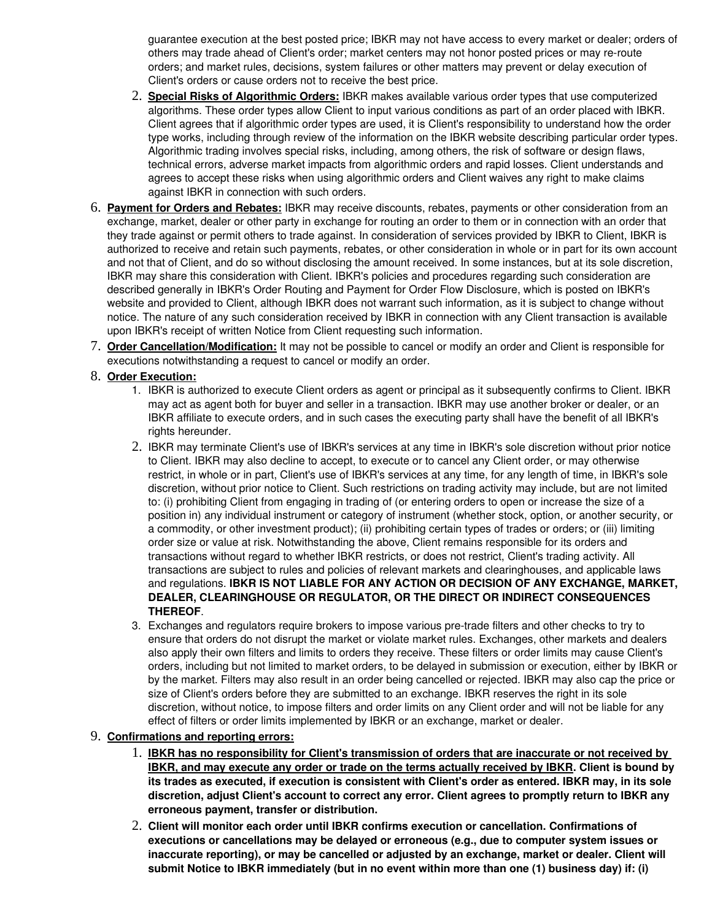guarantee execution at the best posted price; IBKR may not have access to every market or dealer; orders of others may trade ahead of Client's order; market centers may not honor posted prices or may re-route orders; and market rules, decisions, system failures or other matters may prevent or delay execution of Client's orders or cause orders not to receive the best price.

- 2. **Special Risks of Algorithmic Orders:** IBKR makes available various order types that use computerized algorithms. These order types allow Client to input various conditions as part of an order placed with IBKR. Client agrees that if algorithmic order types are used, it is Client's responsibility to understand how the order type works, including through review of the information on the IBKR website describing particular order types. Algorithmic trading involves special risks, including, among others, the risk of software or design flaws, technical errors, adverse market impacts from algorithmic orders and rapid losses. Client understands and agrees to accept these risks when using algorithmic orders and Client waives any right to make claims against IBKR in connection with such orders.
- 6. **Payment for Orders and Rebates:** IBKR may receive discounts, rebates, payments or other consideration from an exchange, market, dealer or other party in exchange for routing an order to them or in connection with an order that they trade against or permit others to trade against. In consideration of services provided by IBKR to Client, IBKR is authorized to receive and retain such payments, rebates, or other consideration in whole or in part for its own account and not that of Client, and do so without disclosing the amount received. In some instances, but at its sole discretion, IBKR may share this consideration with Client. IBKR's policies and procedures regarding such consideration are described generally in IBKR's Order Routing and Payment for Order Flow Disclosure, which is posted on IBKR's website and provided to Client, although IBKR does not warrant such information, as it is subject to change without notice. The nature of any such consideration received by IBKR in connection with any Client transaction is available upon IBKR's receipt of written Notice from Client requesting such information.
- 7. **Order Cancellation/Modification:** It may not be possible to cancel or modify an order and Client is responsible for executions notwithstanding a request to cancel or modify an order.

### 8. **Order Execution:**

- 1. IBKR is authorized to execute Client orders as agent or principal as it subsequently confirms to Client. IBKR may act as agent both for buyer and seller in a transaction. IBKR may use another broker or dealer, or an IBKR affiliate to execute orders, and in such cases the executing party shall have the benefit of all IBKR's rights hereunder.
- 2. IBKR may terminate Client's use of IBKR's services at any time in IBKR's sole discretion without prior notice to Client. IBKR may also decline to accept, to execute or to cancel any Client order, or may otherwise restrict, in whole or in part, Client's use of IBKR's services at any time, for any length of time, in IBKR's sole discretion, without prior notice to Client. Such restrictions on trading activity may include, but are not limited to: (i) prohibiting Client from engaging in trading of (or entering orders to open or increase the size of a position in) any individual instrument or category of instrument (whether stock, option, or another security, or a commodity, or other investment product); (ii) prohibiting certain types of trades or orders; or (iii) limiting order size or value at risk. Notwithstanding the above, Client remains responsible for its orders and transactions without regard to whether IBKR restricts, or does not restrict, Client's trading activity. All transactions are subject to rules and policies of relevant markets and clearinghouses, and applicable laws and regulations. **IBKR IS NOT LIABLE FOR ANY ACTION OR DECISION OF ANY EXCHANGE, MARKET, DEALER, CLEARINGHOUSE OR REGULATOR, OR THE DIRECT OR INDIRECT CONSEQUENCES THEREOF**.
- 3. Exchanges and regulators require brokers to impose various pre-trade filters and other checks to try to ensure that orders do not disrupt the market or violate market rules. Exchanges, other markets and dealers also apply their own filters and limits to orders they receive. These filters or order limits may cause Client's orders, including but not limited to market orders, to be delayed in submission or execution, either by IBKR or by the market. Filters may also result in an order being cancelled or rejected. IBKR may also cap the price or size of Client's orders before they are submitted to an exchange. IBKR reserves the right in its sole discretion, without notice, to impose filters and order limits on any Client order and will not be liable for any effect of filters or order limits implemented by IBKR or an exchange, market or dealer.

### 9. **Confirmations and reporting errors:**

- 1. **IBKR has no responsibility for Client's transmission of orders that are inaccurate or not received by IBKR, and may execute any order or trade on the terms actually received by IBKR. Client is bound by its trades as executed, if execution is consistent with Client's order as entered. IBKR may, in its sole discretion, adjust Client's account to correct any error. Client agrees to promptly return to IBKR any erroneous payment, transfer or distribution.**
- 2. **Client will monitor each order until IBKR confirms execution or cancellation. Confirmations of executions or cancellations may be delayed or erroneous (e.g., due to computer system issues or inaccurate reporting), or may be cancelled or adjusted by an exchange, market or dealer. Client will submit Notice to IBKR immediately (but in no event within more than one (1) business day) if: (i)**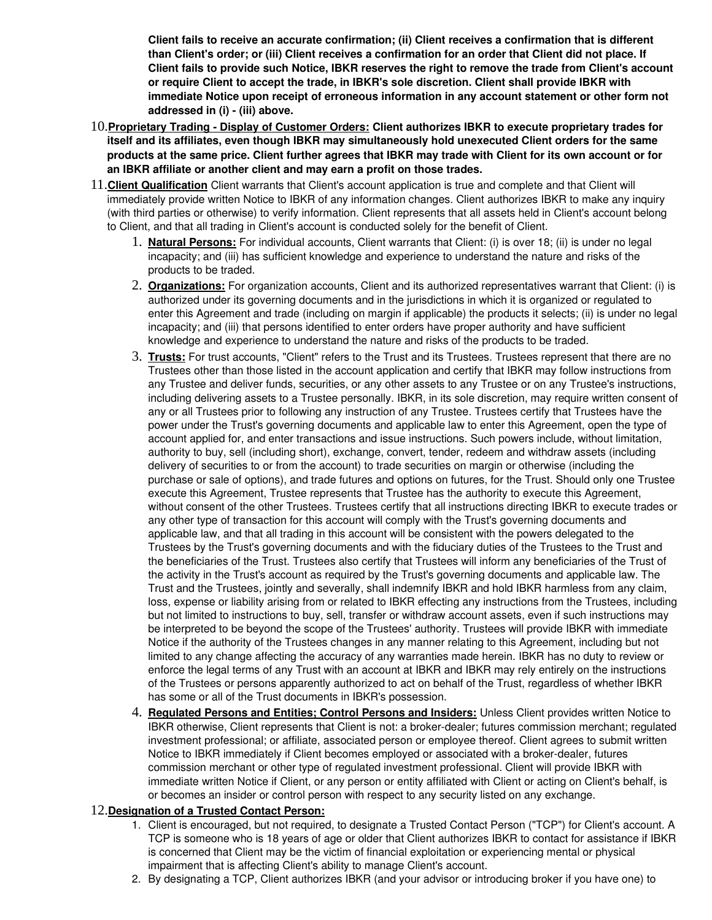**Client fails to receive an accurate confirmation; (ii) Client receives a confirmation that is different than Client's order; or (iii) Client receives a confirmation for an order that Client did not place. If Client fails to provide such Notice, IBKR reserves the right to remove the trade from Client's account or require Client to accept the trade, in IBKR's sole discretion. Client shall provide IBKR with immediate Notice upon receipt of erroneous information in any account statement or other form not**  addressed in (i) - (iii) above.

- 10.**Proprietary Trading Display of Customer Orders: Client authorizes IBKR to execute proprietary trades for itself and its affiliates, even though IBKR may simultaneously hold unexecuted Client orders for the same products at the same price. Client further agrees that IBKR may trade with Client for its own account or for an IBKR affiliate or another client and may earn a profit on those trades.**
- 11.**Client Qualification** Client warrants that Client's account application is true and complete and that Client will immediately provide written Notice to IBKR of any information changes. Client authorizes IBKR to make any inquiry (with third parties or otherwise) to verify information. Client represents that all assets held in Client's account belong to Client, and that all trading in Client's account is conducted solely for the benefit of Client.
	- 1. **Natural Persons:** For individual accounts, Client warrants that Client: (i) is over 18; (ii) is under no legal incapacity; and (iii) has sufficient knowledge and experience to understand the nature and risks of the products to be traded.
	- 2. **Organizations:** For organization accounts, Client and its authorized representatives warrant that Client: (i) is authorized under its governing documents and in the jurisdictions in which it is organized or regulated to enter this Agreement and trade (including on margin if applicable) the products it selects; (ii) is under no legal incapacity; and (iii) that persons identified to enter orders have proper authority and have sufficient knowledge and experience to understand the nature and risks of the products to be traded.
	- 3. **Trusts:** For trust accounts, "Client" refers to the Trust and its Trustees. Trustees represent that there are no Trustees other than those listed in the account application and certify that IBKR may follow instructions from any Trustee and deliver funds, securities, or any other assets to any Trustee or on any Trustee's instructions, including delivering assets to a Trustee personally. IBKR, in its sole discretion, may require written consent of any or all Trustees prior to following any instruction of any Trustee. Trustees certify that Trustees have the power under the Trust's governing documents and applicable law to enter this Agreement, open the type of account applied for, and enter transactions and issue instructions. Such powers include, without limitation, authority to buy, sell (including short), exchange, convert, tender, redeem and withdraw assets (including delivery of securities to or from the account) to trade securities on margin or otherwise (including the purchase or sale of options), and trade futures and options on futures, for the Trust. Should only one Trustee execute this Agreement, Trustee represents that Trustee has the authority to execute this Agreement, without consent of the other Trustees. Trustees certify that all instructions directing IBKR to execute trades or any other type of transaction for this account will comply with the Trust's governing documents and applicable law, and that all trading in this account will be consistent with the powers delegated to the Trustees by the Trust's governing documents and with the fiduciary duties of the Trustees to the Trust and the beneficiaries of the Trust. Trustees also certify that Trustees will inform any beneficiaries of the Trust of the activity in the Trust's account as required by the Trust's governing documents and applicable law. The Trust and the Trustees, jointly and severally, shall indemnify IBKR and hold IBKR harmless from any claim, loss, expense or liability arising from or related to IBKR effecting any instructions from the Trustees, including but not limited to instructions to buy, sell, transfer or withdraw account assets, even if such instructions may be interpreted to be beyond the scope of the Trustees' authority. Trustees will provide IBKR with immediate Notice if the authority of the Trustees changes in any manner relating to this Agreement, including but not limited to any change affecting the accuracy of any warranties made herein. IBKR has no duty to review or enforce the legal terms of any Trust with an account at IBKR and IBKR may rely entirely on the instructions of the Trustees or persons apparently authorized to act on behalf of the Trust, regardless of whether IBKR has some or all of the Trust documents in IBKR's possession.
	- 4. **Regulated Persons and Entities; Control Persons and Insiders:** Unless Client provides written Notice to IBKR otherwise, Client represents that Client is not: a broker-dealer; futures commission merchant; regulated investment professional; or affiliate, associated person or employee thereof. Client agrees to submit written Notice to IBKR immediately if Client becomes employed or associated with a broker-dealer, futures commission merchant or other type of regulated investment professional. Client will provide IBKR with immediate written Notice if Client, or any person or entity affiliated with Client or acting on Client's behalf, is or becomes an insider or control person with respect to any security listed on any exchange.

### 12.**Designation of a Trusted Contact Person:**

- 1. Client is encouraged, but not required, to designate a Trusted Contact Person ("TCP") for Client's account. A TCP is someone who is 18 years of age or older that Client authorizes IBKR to contact for assistance if IBKR is concerned that Client may be the victim of financial exploitation or experiencing mental or physical impairment that is affecting Client's ability to manage Client's account.
- 2. By designating a TCP, Client authorizes IBKR (and your advisor or introducing broker if you have one) to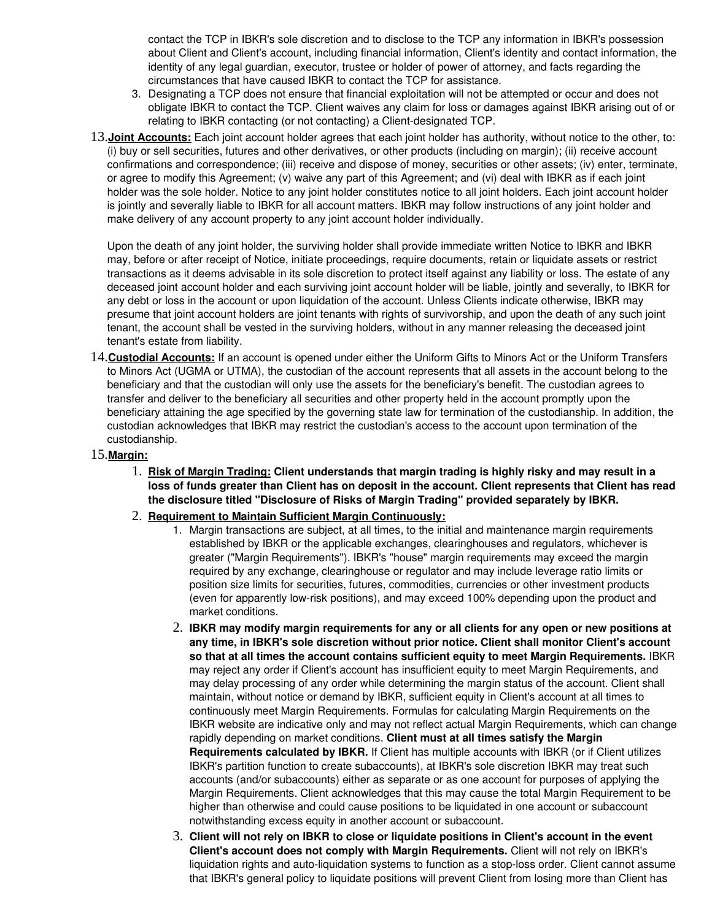contact the TCP in IBKR's sole discretion and to disclose to the TCP any information in IBKR's possession about Client and Client's account, including financial information, Client's identity and contact information, the identity of any legal guardian, executor, trustee or holder of power of attorney, and facts regarding the circumstances that have caused IBKR to contact the TCP for assistance.

- 3. Designating a TCP does not ensure that financial exploitation will not be attempted or occur and does not obligate IBKR to contact the TCP. Client waives any claim for loss or damages against IBKR arising out of or relating to IBKR contacting (or not contacting) a Client-designated TCP.
- 13.**Joint Accounts:** Each joint account holder agrees that each joint holder has authority, without notice to the other, to: (i) buy or sell securities, futures and other derivatives, or other products (including on margin); (ii) receive account confirmations and correspondence; (iii) receive and dispose of money, securities or other assets; (iv) enter, terminate, or agree to modify this Agreement; (v) waive any part of this Agreement; and (vi) deal with IBKR as if each joint holder was the sole holder. Notice to any joint holder constitutes notice to all joint holders. Each joint account holder is jointly and severally liable to IBKR for all account matters. IBKR may follow instructions of any joint holder and make delivery of any account property to any joint account holder individually.

Upon the death of any joint holder, the surviving holder shall provide immediate written Notice to IBKR and IBKR may, before or after receipt of Notice, initiate proceedings, require documents, retain or liquidate assets or restrict transactions as it deems advisable in its sole discretion to protect itself against any liability or loss. The estate of any deceased joint account holder and each surviving joint account holder will be liable, jointly and severally, to IBKR for any debt or loss in the account or upon liquidation of the account. Unless Clients indicate otherwise, IBKR may presume that joint account holders are joint tenants with rights of survivorship, and upon the death of any such joint tenant, the account shall be vested in the surviving holders, without in any manner releasing the deceased joint tenant's estate from liability.

14.**Custodial Accounts:** If an account is opened under either the Uniform Gifts to Minors Act or the Uniform Transfers to Minors Act (UGMA or UTMA), the custodian of the account represents that all assets in the account belong to the beneficiary and that the custodian will only use the assets for the beneficiary's benefit. The custodian agrees to transfer and deliver to the beneficiary all securities and other property held in the account promptly upon the beneficiary attaining the age specified by the governing state law for termination of the custodianship. In addition, the custodian acknowledges that IBKR may restrict the custodian's access to the account upon termination of the custodianship.

#### 15.**Margin:**

1. **Risk of Margin Trading: Client understands that margin trading is highly risky and may result in a loss of funds greater than Client has on deposit in the account. Client represents that Client has read the disclosure titled "Disclosure of Risks of Margin Trading" provided separately by IBKR.**

#### 2. **Requirement to Maintain Sufficient Margin Continuously:**

- 1. Margin transactions are subject, at all times, to the initial and maintenance margin requirements established by IBKR or the applicable exchanges, clearinghouses and regulators, whichever is greater ("Margin Requirements"). IBKR's "house" margin requirements may exceed the margin required by any exchange, clearinghouse or regulator and may include leverage ratio limits or position size limits for securities, futures, commodities, currencies or other investment products (even for apparently lowrisk positions), and may exceed 100% depending upon the product and market conditions.
- 2. **IBKR may modify margin requirements for any or all clients for any open or new positions at any time, in IBKR's sole discretion without prior notice. Client shall monitor Client's account so that at all times the account contains sufficient equity to meet Margin Requirements.** IBKR may reject any order if Client's account has insufficient equity to meet Margin Requirements, and may delay processing of any order while determining the margin status of the account. Client shall maintain, without notice or demand by IBKR, sufficient equity in Client's account at all times to continuously meet Margin Requirements. Formulas for calculating Margin Requirements on the IBKR website are indicative only and may not reflect actual Margin Requirements, which can change rapidly depending on market conditions. **Client must at all times satisfy the Margin Requirements calculated by IBKR.** If Client has multiple accounts with IBKR (or if Client utilizes IBKR's partition function to create subaccounts), at IBKR's sole discretion IBKR may treat such accounts (and/or subaccounts) either as separate or as one account for purposes of applying the Margin Requirements. Client acknowledges that this may cause the total Margin Requirement to be higher than otherwise and could cause positions to be liquidated in one account or subaccount notwithstanding excess equity in another account or subaccount.
- 3. **Client will not rely on IBKR to close or liquidate positions in Client's account in the event Client's account does not comply with Margin Requirements.** Client will not rely on IBKR's liquidation rights and auto-liquidation systems to function as a stop-loss order. Client cannot assume that IBKR's general policy to liquidate positions will prevent Client from losing more than Client has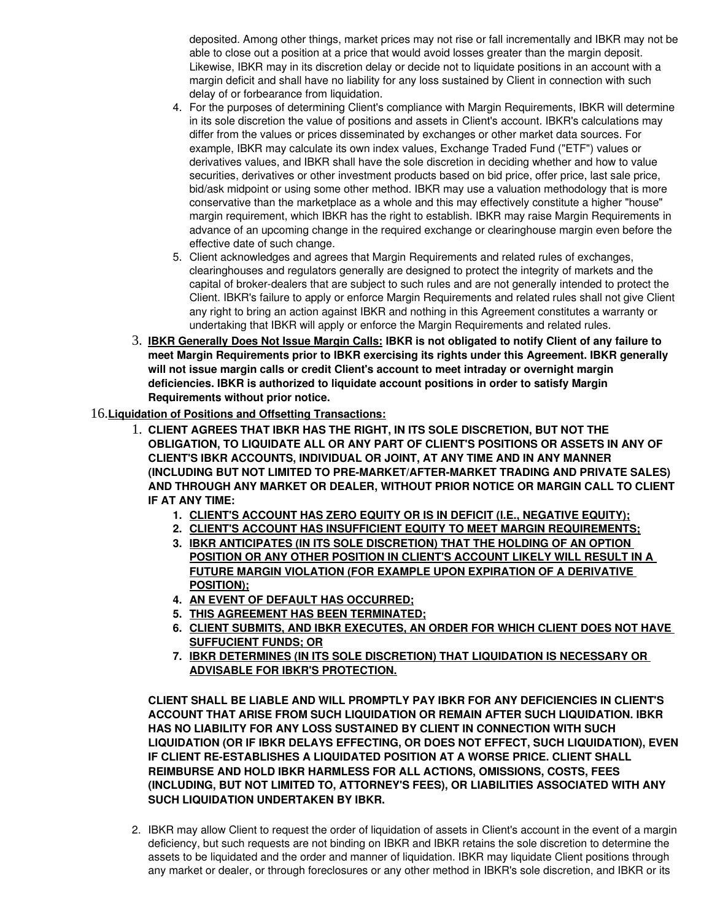deposited. Among other things, market prices may not rise or fall incrementally and IBKR may not be able to close out a position at a price that would avoid losses greater than the margin deposit. Likewise, IBKR may in its discretion delay or decide not to liquidate positions in an account with a margin deficit and shall have no liability for any loss sustained by Client in connection with such delay of or forbearance from liquidation.

- 4. For the purposes of determining Client's compliance with Margin Requirements, IBKR will determine in its sole discretion the value of positions and assets in Client's account. IBKR's calculations may differ from the values or prices disseminated by exchanges or other market data sources. For example, IBKR may calculate its own index values, Exchange Traded Fund ("ETF") values or derivatives values, and IBKR shall have the sole discretion in deciding whether and how to value securities, derivatives or other investment products based on bid price, offer price, last sale price, bid/ask midpoint or using some other method. IBKR may use a valuation methodology that is more conservative than the marketplace as a whole and this may effectively constitute a higher "house" margin requirement, which IBKR has the right to establish. IBKR may raise Margin Requirements in advance of an upcoming change in the required exchange or clearinghouse margin even before the effective date of such change.
- 5. Client acknowledges and agrees that Margin Requirements and related rules of exchanges, clearinghouses and regulators generally are designed to protect the integrity of markets and the capital of broker-dealers that are subject to such rules and are not generally intended to protect the Client. IBKR's failure to apply or enforce Margin Requirements and related rules shall not give Client any right to bring an action against IBKR and nothing in this Agreement constitutes a warranty or undertaking that IBKR will apply or enforce the Margin Requirements and related rules.
- 3. **IBKR Generally Does Not Issue Margin Calls: IBKR is not obligated to notify Client of any failure to meet Margin Requirements prior to IBKR exercising its rights under this Agreement. IBKR generally will not issue margin calls or credit Client's account to meet intraday or overnight margin deficiencies. IBKR is authorized to liquidate account positions in order to satisfy Margin Requirements without prior notice.**

## 16.**Liquidation of Positions and Offsetting Transactions:**

- 1. **CLIENT AGREES THAT IBKR HAS THE RIGHT, IN ITS SOLE DISCRETION, BUT NOT THE OBLIGATION, TO LIQUIDATE ALL OR ANY PART OF CLIENT'S POSITIONS OR ASSETS IN ANY OF CLIENT'S IBKR ACCOUNTS, INDIVIDUAL OR JOINT, AT ANY TIME AND IN ANY MANNER (INCLUDING BUT NOT LIMITED TO PRE-MARKET/AFTER-MARKET TRADING AND PRIVATE SALES) AND THROUGH ANY MARKET OR DEALER, WITHOUT PRIOR NOTICE OR MARGIN CALL TO CLIENT IF AT ANY TIME:**
	- **1. CLIENT'S ACCOUNT HAS ZERO EQUITY OR IS IN DEFICIT (I.E., NEGATIVE EQUITY);**
	- **2. CLIENT'S ACCOUNT HAS INSUFFICIENT EQUITY TO MEET MARGIN REQUIREMENTS;**
	- **3. IBKR ANTICIPATES (IN ITS SOLE DISCRETION) THAT THE HOLDING OF AN OPTION POSITION OR ANY OTHER POSITION IN CLIENT'S ACCOUNT LIKELY WILL RESULT IN A FUTURE MARGIN VIOLATION (FOR EXAMPLE UPON EXPIRATION OF A DERIVATIVE POSITION);**
	- **4. AN EVENT OF DEFAULT HAS OCCURRED;**
	- **5. THIS AGREEMENT HAS BEEN TERMINATED;**
	- **6. CLIENT SUBMITS, AND IBKR EXECUTES, AN ORDER FOR WHICH CLIENT DOES NOT HAVE SUFFUCIENT FUNDS; OR**
	- **7. IBKR DETERMINES (IN ITS SOLE DISCRETION) THAT LIQUIDATION IS NECESSARY OR ADVISABLE FOR IBKR'S PROTECTION.**

**CLIENT SHALL BE LIABLE AND WILL PROMPTLY PAY IBKR FOR ANY DEFICIENCIES IN CLIENT'S ACCOUNT THAT ARISE FROM SUCH LIQUIDATION OR REMAIN AFTER SUCH LIQUIDATION. IBKR HAS NO LIABILITY FOR ANY LOSS SUSTAINED BY CLIENT IN CONNECTION WITH SUCH LIQUIDATION (OR IF IBKR DELAYS EFFECTING, OR DOES NOT EFFECT, SUCH LIQUIDATION), EVEN IF CLIENT REESTABLISHES A LIQUIDATED POSITION AT A WORSE PRICE. CLIENT SHALL REIMBURSE AND HOLD IBKR HARMLESS FOR ALL ACTIONS, OMISSIONS, COSTS, FEES (INCLUDING, BUT NOT LIMITED TO, ATTORNEY'S FEES), OR LIABILITIES ASSOCIATED WITH ANY SUCH LIQUIDATION UNDERTAKEN BY IBKR.** 

2. IBKR may allow Client to request the order of liquidation of assets in Client's account in the event of a margin deficiency, but such requests are not binding on IBKR and IBKR retains the sole discretion to determine the assets to be liquidated and the order and manner of liquidation. IBKR may liquidate Client positions through any market or dealer, or through foreclosures or any other method in IBKR's sole discretion, and IBKR or its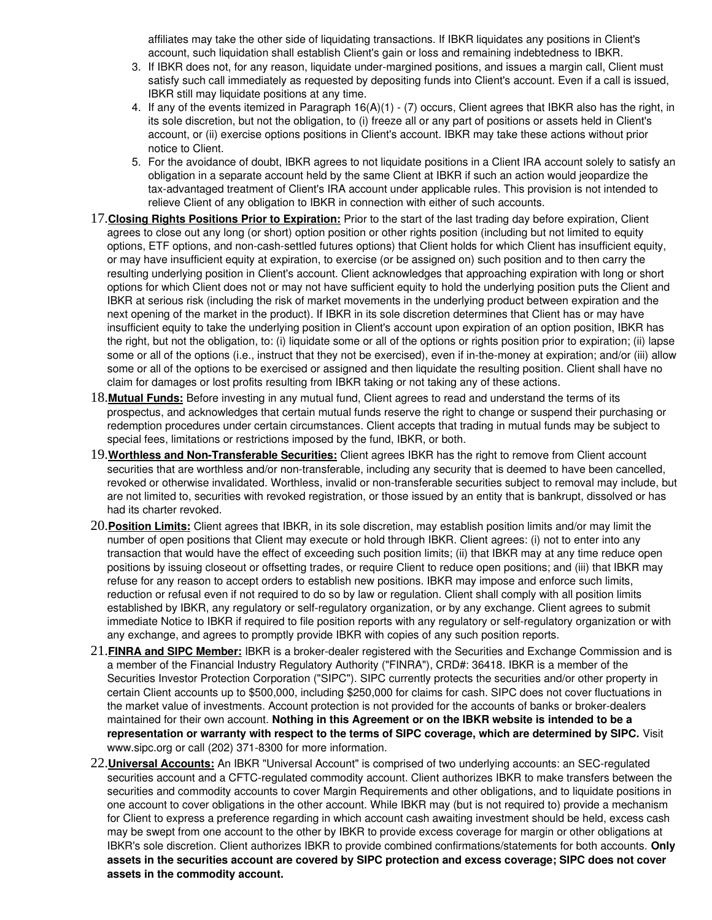affiliates may take the other side of liquidating transactions. If IBKR liquidates any positions in Client's account, such liquidation shall establish Client's gain or loss and remaining indebtedness to IBKR.

- 3. If IBKR does not, for any reason, liquidate under-margined positions, and issues a margin call, Client must satisfy such call immediately as requested by depositing funds into Client's account. Even if a call is issued, IBKR still may liquidate positions at any time.
- 4. If any of the events itemized in Paragraph 16(A)(1) (7) occurs, Client agrees that IBKR also has the right, in its sole discretion, but not the obligation, to (i) freeze all or any part of positions or assets held in Client's account, or (ii) exercise options positions in Client's account. IBKR may take these actions without prior notice to Client.
- 5. For the avoidance of doubt, IBKR agrees to not liquidate positions in a Client IRA account solely to satisfy an obligation in a separate account held by the same Client at IBKR if such an action would jeopardize the tax-advantaged treatment of Client's IRA account under applicable rules. This provision is not intended to relieve Client of any obligation to IBKR in connection with either of such accounts.
- 17.**Closing Rights Positions Prior to Expiration:** Prior to the start of the last trading day before expiration, Client agrees to close out any long (or short) option position or other rights position (including but not limited to equity options, ETF options, and non-cash-settled futures options) that Client holds for which Client has insufficient equity, or may have insufficient equity at expiration, to exercise (or be assigned on) such position and to then carry the resulting underlying position in Client's account. Client acknowledges that approaching expiration with long or short options for which Client does not or may not have sufficient equity to hold the underlying position puts the Client and IBKR at serious risk (including the risk of market movements in the underlying product between expiration and the next opening of the market in the product). If IBKR in its sole discretion determines that Client has or may have insufficient equity to take the underlying position in Client's account upon expiration of an option position, IBKR has the right, but not the obligation, to: (i) liquidate some or all of the options or rights position prior to expiration; (ii) lapse some or all of the options (i.e., instruct that they not be exercised), even if in-the-money at expiration; and/or (iii) allow some or all of the options to be exercised or assigned and then liquidate the resulting position. Client shall have no claim for damages or lost profits resulting from IBKR taking or not taking any of these actions.
- 18.**Mutual Funds:** Before investing in any mutual fund, Client agrees to read and understand the terms of its prospectus, and acknowledges that certain mutual funds reserve the right to change or suspend their purchasing or redemption procedures under certain circumstances. Client accepts that trading in mutual funds may be subject to special fees, limitations or restrictions imposed by the fund, IBKR, or both.
- 19.**Worthless and NonTransferable Securities:** Client agrees IBKR has the right to remove from Client account securities that are worthless and/or non-transferable, including any security that is deemed to have been cancelled, revoked or otherwise invalidated. Worthless, invalid or non-transferable securities subject to removal may include, but are not limited to, securities with revoked registration, or those issued by an entity that is bankrupt, dissolved or has had its charter revoked.
- 20.**Position Limits:** Client agrees that IBKR, in its sole discretion, may establish position limits and/or may limit the number of open positions that Client may execute or hold through IBKR. Client agrees: (i) not to enter into any transaction that would have the effect of exceeding such position limits; (ii) that IBKR may at any time reduce open positions by issuing closeout or offsetting trades, or require Client to reduce open positions; and (iii) that IBKR may refuse for any reason to accept orders to establish new positions. IBKR may impose and enforce such limits, reduction or refusal even if not required to do so by law or regulation. Client shall comply with all position limits established by IBKR, any regulatory or self-regulatory organization, or by any exchange. Client agrees to submit immediate Notice to IBKR if required to file position reports with any regulatory or self-regulatory organization or with any exchange, and agrees to promptly provide IBKR with copies of any such position reports.
- 21. FINRA and SIPC Member: IBKR is a broker-dealer registered with the Securities and Exchange Commission and is a member of the Financial Industry Regulatory Authority ("FINRA"), CRD#: 36418. IBKR is a member of the Securities Investor Protection Corporation ("SIPC"). SIPC currently protects the securities and/or other property in certain Client accounts up to \$500,000, including \$250,000 for claims for cash. SIPC does not cover fluctuations in the market value of investments. Account protection is not provided for the accounts of banks or broker-dealers maintained for their own account. **Nothing in this Agreement or on the IBKR website is intended to be a representation or warranty with respect to the terms of SIPC coverage, which are determined by SIPC.** Visit www.sipc.org or call (202) 371-8300 for more information.
- 22.**Universal Accounts:** An IBKR "Universal Account" is comprised of two underlying accounts: an SECregulated securities account and a CFTC-regulated commodity account. Client authorizes IBKR to make transfers between the securities and commodity accounts to cover Margin Requirements and other obligations, and to liquidate positions in one account to cover obligations in the other account. While IBKR may (but is not required to) provide a mechanism for Client to express a preference regarding in which account cash awaiting investment should be held, excess cash may be swept from one account to the other by IBKR to provide excess coverage for margin or other obligations at IBKR's sole discretion. Client authorizes IBKR to provide combined confirmations/statements for both accounts. **Only assets in the securities account are covered by SIPC protection and excess coverage; SIPC does not cover assets in the commodity account.**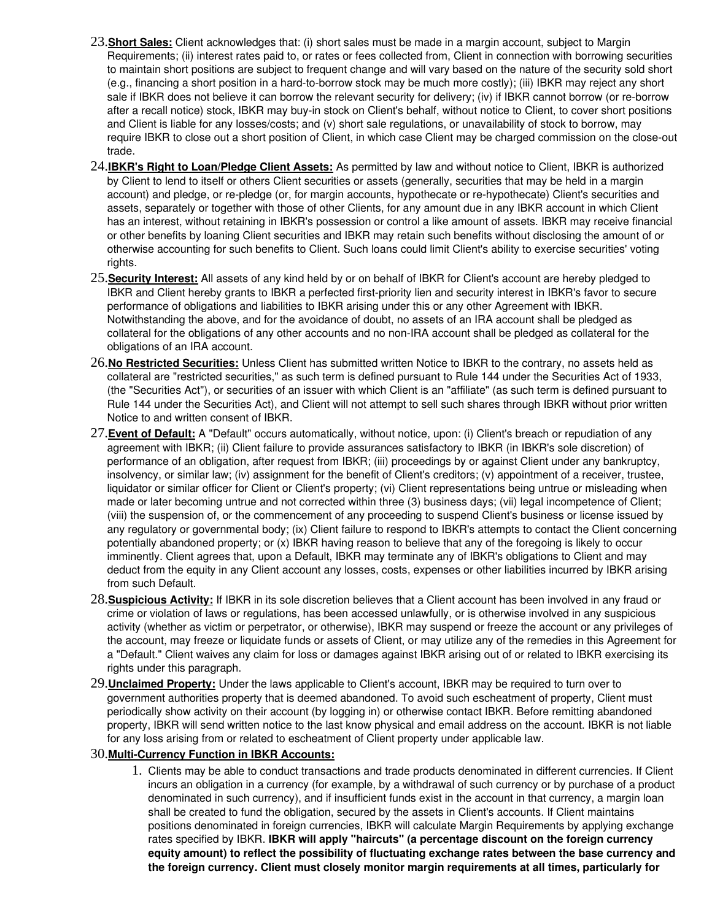- 23.**Short Sales:** Client acknowledges that: (i) short sales must be made in a margin account, subject to Margin Requirements; (ii) interest rates paid to, or rates or fees collected from, Client in connection with borrowing securities to maintain short positions are subject to frequent change and will vary based on the nature of the security sold short (e.g., financing a short position in a hard-to-borrow stock may be much more costly); (iii) IBKR may reject any short sale if IBKR does not believe it can borrow the relevant security for delivery; (iv) if IBKR cannot borrow (or re-borrow after a recall notice) stock, IBKR may buy-in stock on Client's behalf, without notice to Client, to cover short positions and Client is liable for any losses/costs; and (v) short sale regulations, or unavailability of stock to borrow, may require IBKR to close out a short position of Client, in which case Client may be charged commission on the close-out trade.
- 24.**IBKR's Right to Loan/Pledge Client Assets:** As permitted by law and without notice to Client, IBKR is authorized by Client to lend to itself or others Client securities or assets (generally, securities that may be held in a margin account) and pledge, or re-pledge (or, for margin accounts, hypothecate or re-hypothecate) Client's securities and assets, separately or together with those of other Clients, for any amount due in any IBKR account in which Client has an interest, without retaining in IBKR's possession or control a like amount of assets. IBKR may receive financial or other benefits by loaning Client securities and IBKR may retain such benefits without disclosing the amount of or otherwise accounting for such benefits to Client. Such loans could limit Client's ability to exercise securities' voting rights.
- 25.**Security Interest:** All assets of any kind held by or on behalf of IBKR for Client's account are hereby pledged to IBKR and Client hereby grants to IBKR a perfected first-priority lien and security interest in IBKR's favor to secure performance of obligations and liabilities to IBKR arising under this or any other Agreement with IBKR. Notwithstanding the above, and for the avoidance of doubt, no assets of an IRA account shall be pledged as collateral for the obligations of any other accounts and no non-IRA account shall be pledged as collateral for the obligations of an IRA account.
- 26.**No Restricted Securities:** Unless Client has submitted written Notice to IBKR to the contrary, no assets held as collateral are "restricted securities," as such term is defined pursuant to Rule 144 under the Securities Act of 1933, (the "Securities Act"), or securities of an issuer with which Client is an "affiliate" (as such term is defined pursuant to Rule 144 under the Securities Act), and Client will not attempt to sell such shares through IBKR without prior written Notice to and written consent of IBKR.
- 27.**Event of Default:** A "Default" occurs automatically, without notice, upon: (i) Client's breach or repudiation of any agreement with IBKR; (ii) Client failure to provide assurances satisfactory to IBKR (in IBKR's sole discretion) of performance of an obligation, after request from IBKR; (iii) proceedings by or against Client under any bankruptcy, insolvency, or similar law; (iv) assignment for the benefit of Client's creditors; (v) appointment of a receiver, trustee, liquidator or similar officer for Client or Client's property; (vi) Client representations being untrue or misleading when made or later becoming untrue and not corrected within three (3) business days; (vii) legal incompetence of Client; (viii) the suspension of, or the commencement of any proceeding to suspend Client's business or license issued by any regulatory or governmental body; (ix) Client failure to respond to IBKR's attempts to contact the Client concerning potentially abandoned property; or (x) IBKR having reason to believe that any of the foregoing is likely to occur imminently. Client agrees that, upon a Default, IBKR may terminate any of IBKR's obligations to Client and may deduct from the equity in any Client account any losses, costs, expenses or other liabilities incurred by IBKR arising from such Default.
- 28.**Suspicious Activity:** If IBKR in its sole discretion believes that a Client account has been involved in any fraud or crime or violation of laws or regulations, has been accessed unlawfully, or is otherwise involved in any suspicious activity (whether as victim or perpetrator, or otherwise), IBKR may suspend or freeze the account or any privileges of the account, may freeze or liquidate funds or assets of Client, or may utilize any of the remedies in this Agreement for a "Default." Client waives any claim for loss or damages against IBKR arising out of or related to IBKR exercising its rights under this paragraph.
- 29.**Unclaimed Property:** Under the laws applicable to Client's account, IBKR may be required to turn over to government authorities property that is deemed abandoned. To avoid such escheatment of property, Client must periodically show activity on their account (by logging in) or otherwise contact IBKR. Before remitting abandoned property, IBKR will send written notice to the last know physical and email address on the account. IBKR is not liable for any loss arising from or related to escheatment of Client property under applicable law.

### 30.**MultiCurrency Function in IBKR Accounts:**

1. Clients may be able to conduct transactions and trade products denominated in different currencies. If Client incurs an obligation in a currency (for example, by a withdrawal of such currency or by purchase of a product denominated in such currency), and if insufficient funds exist in the account in that currency, a margin loan shall be created to fund the obligation, secured by the assets in Client's accounts. If Client maintains positions denominated in foreign currencies, IBKR will calculate Margin Requirements by applying exchange rates specified by IBKR. **IBKR will apply "haircuts" (a percentage discount on the foreign currency equity amount) to reflect the possibility of fluctuating exchange rates between the base currency and the foreign currency. Client must closely monitor margin requirements at all times, particularly for**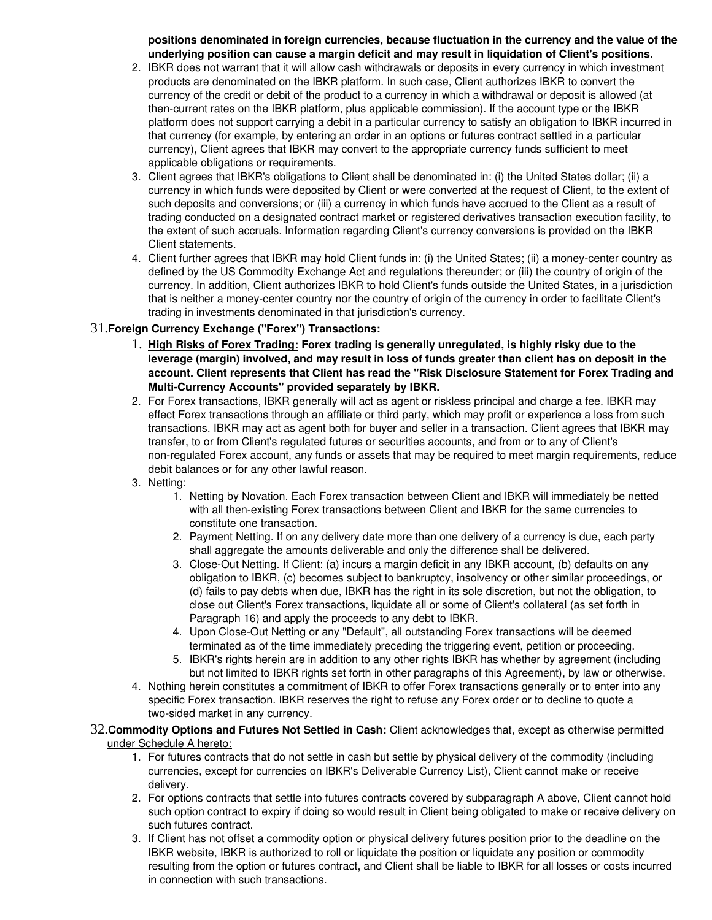**positions denominated in foreign currencies, because fluctuation in the currency and the value of the underlying position can cause a margin deficit and may result in liquidation of Client's positions.**

- 2. IBKR does not warrant that it will allow cash withdrawals or deposits in every currency in which investment products are denominated on the IBKR platform. In such case, Client authorizes IBKR to convert the currency of the credit or debit of the product to a currency in which a withdrawal or deposit is allowed (at then-current rates on the IBKR platform, plus applicable commission). If the account type or the IBKR platform does not support carrying a debit in a particular currency to satisfy an obligation to IBKR incurred in that currency (for example, by entering an order in an options or futures contract settled in a particular currency), Client agrees that IBKR may convert to the appropriate currency funds sufficient to meet applicable obligations or requirements.
- 3. Client agrees that IBKR's obligations to Client shall be denominated in: (i) the United States dollar; (ii) a currency in which funds were deposited by Client or were converted at the request of Client, to the extent of such deposits and conversions; or (iii) a currency in which funds have accrued to the Client as a result of trading conducted on a designated contract market or registered derivatives transaction execution facility, to the extent of such accruals. Information regarding Client's currency conversions is provided on the IBKR Client statements.
- 4. Client further agrees that IBKR may hold Client funds in: (i) the United States; (ii) a moneycenter country as defined by the US Commodity Exchange Act and regulations thereunder; or (iii) the country of origin of the currency. In addition, Client authorizes IBKR to hold Client's funds outside the United States, in a jurisdiction that is neither a moneycenter country nor the country of origin of the currency in order to facilitate Client's trading in investments denominated in that jurisdiction's currency.

### 31.**Foreign Currency Exchange ("Forex") Transactions:**

- 1. **High Risks of Forex Trading: Forex trading is generally unregulated, is highly risky due to the leverage (margin) involved, and may result in loss of funds greater than client has on deposit in the account. Client represents that Client has read the "Risk Disclosure Statement for Forex Trading and Multi-Currency Accounts" provided separately by IBKR.**
- 2. For Forex transactions, IBKR generally will act as agent or riskless principal and charge a fee. IBKR may effect Forex transactions through an affiliate or third party, which may profit or experience a loss from such transactions. IBKR may act as agent both for buyer and seller in a transaction. Client agrees that IBKR may transfer, to or from Client's regulated futures or securities accounts, and from or to any of Client's nonregulated Forex account, any funds or assets that may be required to meet margin requirements, reduce debit balances or for any other lawful reason.
- 3. Netting:
	- 1. Netting by Novation. Each Forex transaction between Client and IBKR will immediately be netted with all then-existing Forex transactions between Client and IBKR for the same currencies to constitute one transaction.
	- 2. Payment Netting. If on any delivery date more than one delivery of a currency is due, each party shall aggregate the amounts deliverable and only the difference shall be delivered.
	- 3. Close-Out Netting. If Client: (a) incurs a margin deficit in any IBKR account, (b) defaults on any obligation to IBKR, (c) becomes subject to bankruptcy, insolvency or other similar proceedings, or (d) fails to pay debts when due, IBKR has the right in its sole discretion, but not the obligation, to close out Client's Forex transactions, liquidate all or some of Client's collateral (as set forth in Paragraph 16) and apply the proceeds to any debt to IBKR.
	- 4. Upon Close-Out Netting or any "Default", all outstanding Forex transactions will be deemed terminated as of the time immediately preceding the triggering event, petition or proceeding.
	- 5. IBKR's rights herein are in addition to any other rights IBKR has whether by agreement (including but not limited to IBKR rights set forth in other paragraphs of this Agreement), by law or otherwise.
- 4. Nothing herein constitutes a commitment of IBKR to offer Forex transactions generally or to enter into any specific Forex transaction. IBKR reserves the right to refuse any Forex order or to decline to quote a two-sided market in any currency.

#### 32.**Commodity Options and Futures Not Settled in Cash:** Client acknowledges that, except as otherwise permitted under Schedule A hereto:

- 1. For futures contracts that do not settle in cash but settle by physical delivery of the commodity (including currencies, except for currencies on IBKR's Deliverable Currency List), Client cannot make or receive delivery.
- 2. For options contracts that settle into futures contracts covered by subparagraph A above, Client cannot hold such option contract to expiry if doing so would result in Client being obligated to make or receive delivery on such futures contract.
- 3. If Client has not offset a commodity option or physical delivery futures position prior to the deadline on the IBKR website, IBKR is authorized to roll or liquidate the position or liquidate any position or commodity resulting from the option or futures contract, and Client shall be liable to IBKR for all losses or costs incurred in connection with such transactions.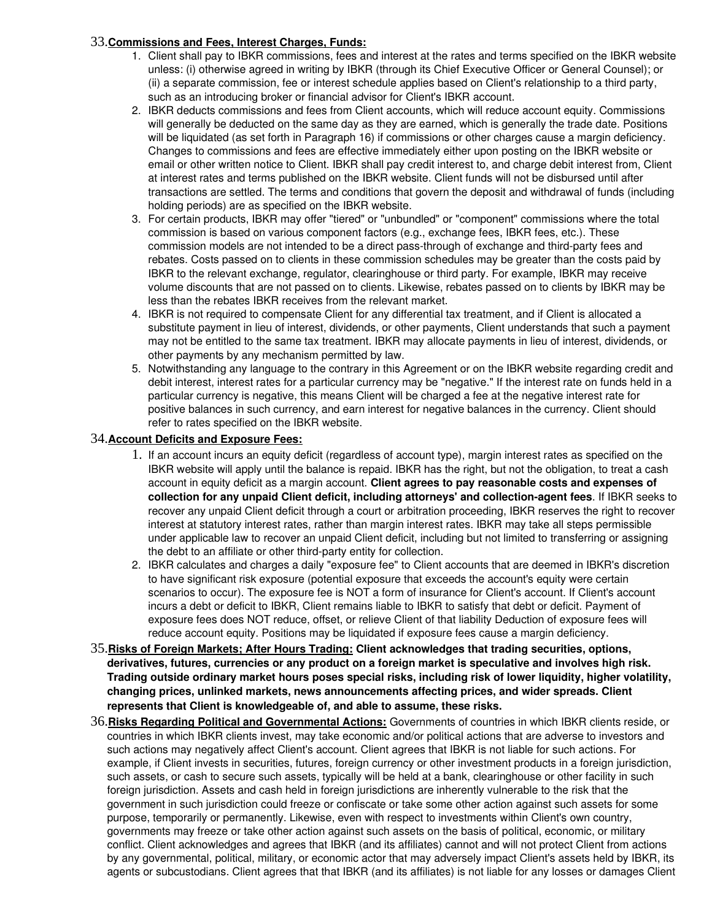### 33.**Commissions and Fees, Interest Charges, Funds:**

- 1. Client shall pay to IBKR commissions, fees and interest at the rates and terms specified on the IBKR website unless: (i) otherwise agreed in writing by IBKR (through its Chief Executive Officer or General Counsel); or (ii) a separate commission, fee or interest schedule applies based on Client's relationship to a third party, such as an introducing broker or financial advisor for Client's IBKR account.
- 2. IBKR deducts commissions and fees from Client accounts, which will reduce account equity. Commissions will generally be deducted on the same day as they are earned, which is generally the trade date. Positions will be liquidated (as set forth in Paragraph 16) if commissions or other charges cause a margin deficiency. Changes to commissions and fees are effective immediately either upon posting on the IBKR website or email or other written notice to Client. IBKR shall pay credit interest to, and charge debit interest from, Client at interest rates and terms published on the IBKR website. Client funds will not be disbursed until after transactions are settled. The terms and conditions that govern the deposit and withdrawal of funds (including holding periods) are as specified on the IBKR website.
- 3. For certain products, IBKR may offer "tiered" or "unbundled" or "component" commissions where the total commission is based on various component factors (e.g., exchange fees, IBKR fees, etc.). These commission models are not intended to be a direct pass-through of exchange and third-party fees and rebates. Costs passed on to clients in these commission schedules may be greater than the costs paid by IBKR to the relevant exchange, regulator, clearinghouse or third party. For example, IBKR may receive volume discounts that are not passed on to clients. Likewise, rebates passed on to clients by IBKR may be less than the rebates IBKR receives from the relevant market.
- 4. IBKR is not required to compensate Client for any differential tax treatment, and if Client is allocated a substitute payment in lieu of interest, dividends, or other payments, Client understands that such a payment may not be entitled to the same tax treatment. IBKR may allocate payments in lieu of interest, dividends, or other payments by any mechanism permitted by law.
- 5. Notwithstanding any language to the contrary in this Agreement or on the IBKR website regarding credit and debit interest, interest rates for a particular currency may be "negative." If the interest rate on funds held in a particular currency is negative, this means Client will be charged a fee at the negative interest rate for positive balances in such currency, and earn interest for negative balances in the currency. Client should refer to rates specified on the IBKR website.

### 34.**Account Deficits and Exposure Fees:**

- 1. If an account incurs an equity deficit (regardless of account type), margin interest rates as specified on the IBKR website will apply until the balance is repaid. IBKR has the right, but not the obligation, to treat a cash account in equity deficit as a margin account. **Client agrees to pay reasonable costs and expenses of collection for any unpaid Client deficit, including attorneys' and collectionagent fees**. If IBKR seeks to recover any unpaid Client deficit through a court or arbitration proceeding, IBKR reserves the right to recover interest at statutory interest rates, rather than margin interest rates. IBKR may take all steps permissible under applicable law to recover an unpaid Client deficit, including but not limited to transferring or assigning the debt to an affiliate or other third-party entity for collection.
- 2. IBKR calculates and charges a daily "exposure fee" to Client accounts that are deemed in IBKR's discretion to have significant risk exposure (potential exposure that exceeds the account's equity were certain scenarios to occur). The exposure fee is NOT a form of insurance for Client's account. If Client's account incurs a debt or deficit to IBKR, Client remains liable to IBKR to satisfy that debt or deficit. Payment of exposure fees does NOT reduce, offset, or relieve Client of that liability Deduction of exposure fees will reduce account equity. Positions may be liquidated if exposure fees cause a margin deficiency.
- 35.**Risks of Foreign Markets; After Hours Trading: Client acknowledges that trading securities, options, derivatives, futures, currencies or any product on a foreign market is speculative and involves high risk. Trading outside ordinary market hours poses special risks, including risk of lower liquidity, higher volatility, changing prices, unlinked markets, news announcements affecting prices, and wider spreads. Client represents that Client is knowledgeable of, and able to assume, these risks.**
- 36.**Risks Regarding Political and Governmental Actions:** Governments of countries in which IBKR clients reside, or countries in which IBKR clients invest, may take economic and/or political actions that are adverse to investors and such actions may negatively affect Client's account. Client agrees that IBKR is not liable for such actions. For example, if Client invests in securities, futures, foreign currency or other investment products in a foreign jurisdiction, such assets, or cash to secure such assets, typically will be held at a bank, clearinghouse or other facility in such foreign jurisdiction. Assets and cash held in foreign jurisdictions are inherently vulnerable to the risk that the government in such jurisdiction could freeze or confiscate or take some other action against such assets for some purpose, temporarily or permanently. Likewise, even with respect to investments within Client's own country, governments may freeze or take other action against such assets on the basis of political, economic, or military conflict. Client acknowledges and agrees that IBKR (and its affiliates) cannot and will not protect Client from actions by any governmental, political, military, or economic actor that may adversely impact Client's assets held by IBKR, its agents or subcustodians. Client agrees that that IBKR (and its affiliates) is not liable for any losses or damages Client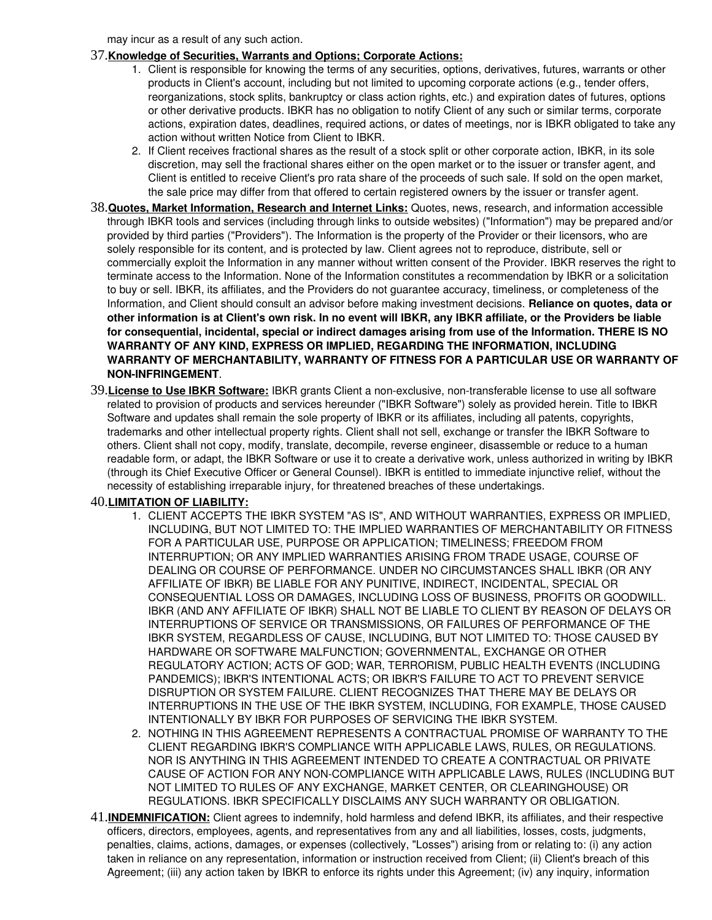may incur as a result of any such action.

### 37.**Knowledge of Securities, Warrants and Options; Corporate Actions:**

- 1. Client is responsible for knowing the terms of any securities, options, derivatives, futures, warrants or other products in Client's account, including but not limited to upcoming corporate actions (e.g., tender offers, reorganizations, stock splits, bankruptcy or class action rights, etc.) and expiration dates of futures, options or other derivative products. IBKR has no obligation to notify Client of any such or similar terms, corporate actions, expiration dates, deadlines, required actions, or dates of meetings, nor is IBKR obligated to take any action without written Notice from Client to IBKR.
- 2. If Client receives fractional shares as the result of a stock split or other corporate action, IBKR, in its sole discretion, may sell the fractional shares either on the open market or to the issuer or transfer agent, and Client is entitled to receive Client's pro rata share of the proceeds of such sale. If sold on the open market, the sale price may differ from that offered to certain registered owners by the issuer or transfer agent.
- 38.**Quotes, Market Information, Research and Internet Links:** Quotes, news, research, and information accessible through IBKR tools and services (including through links to outside websites) ("Information") may be prepared and/or provided by third parties ("Providers"). The Information is the property of the Provider or their licensors, who are solely responsible for its content, and is protected by law. Client agrees not to reproduce, distribute, sell or commercially exploit the Information in any manner without written consent of the Provider. IBKR reserves the right to terminate access to the Information. None of the Information constitutes a recommendation by IBKR or a solicitation to buy or sell. IBKR, its affiliates, and the Providers do not guarantee accuracy, timeliness, or completeness of the Information, and Client should consult an advisor before making investment decisions. **Reliance on quotes, data or other information is at Client's own risk. In no event will IBKR, any IBKR affiliate, or the Providers be liable for consequential, incidental, special or indirect damages arising from use of the Information. THERE IS NO WARRANTY OF ANY KIND, EXPRESS OR IMPLIED, REGARDING THE INFORMATION, INCLUDING WARRANTY OF MERCHANTABILITY, WARRANTY OF FITNESS FOR A PARTICULAR USE OR WARRANTY OF NONINFRINGEMENT**.
- 39.**License to Use IBKR Software:** IBKR grants Client a nonexclusive, nontransferable license to use all software related to provision of products and services hereunder ("IBKR Software") solely as provided herein. Title to IBKR Software and updates shall remain the sole property of IBKR or its affiliates, including all patents, copyrights, trademarks and other intellectual property rights. Client shall not sell, exchange or transfer the IBKR Software to others. Client shall not copy, modify, translate, decompile, reverse engineer, disassemble or reduce to a human readable form, or adapt, the IBKR Software or use it to create a derivative work, unless authorized in writing by IBKR (through its Chief Executive Officer or General Counsel). IBKR is entitled to immediate injunctive relief, without the necessity of establishing irreparable injury, for threatened breaches of these undertakings.

### 40.**LIMITATION OF LIABILITY:**

- 1. CLIENT ACCEPTS THE IBKR SYSTEM "AS IS", AND WITHOUT WARRANTIES, EXPRESS OR IMPLIED, INCLUDING, BUT NOT LIMITED TO: THE IMPLIED WARRANTIES OF MERCHANTABILITY OR FITNESS FOR A PARTICULAR USE, PURPOSE OR APPLICATION; TIMELINESS; FREEDOM FROM INTERRUPTION; OR ANY IMPLIED WARRANTIES ARISING FROM TRADE USAGE, COURSE OF DEALING OR COURSE OF PERFORMANCE. UNDER NO CIRCUMSTANCES SHALL IBKR (OR ANY AFFILIATE OF IBKR) BE LIABLE FOR ANY PUNITIVE, INDIRECT, INCIDENTAL, SPECIAL OR CONSEQUENTIAL LOSS OR DAMAGES, INCLUDING LOSS OF BUSINESS, PROFITS OR GOODWILL. IBKR (AND ANY AFFILIATE OF IBKR) SHALL NOT BE LIABLE TO CLIENT BY REASON OF DELAYS OR INTERRUPTIONS OF SERVICE OR TRANSMISSIONS, OR FAILURES OF PERFORMANCE OF THE IBKR SYSTEM, REGARDLESS OF CAUSE, INCLUDING, BUT NOT LIMITED TO: THOSE CAUSED BY HARDWARE OR SOFTWARE MALFUNCTION; GOVERNMENTAL, EXCHANGE OR OTHER REGULATORY ACTION; ACTS OF GOD; WAR, TERRORISM, PUBLIC HEALTH EVENTS (INCLUDING PANDEMICS); IBKR'S INTENTIONAL ACTS; OR IBKR'S FAILURE TO ACT TO PREVENT SERVICE DISRUPTION OR SYSTEM FAILURE. CLIENT RECOGNIZES THAT THERE MAY BE DELAYS OR INTERRUPTIONS IN THE USE OF THE IBKR SYSTEM, INCLUDING, FOR EXAMPLE, THOSE CAUSED INTENTIONALLY BY IBKR FOR PURPOSES OF SERVICING THE IBKR SYSTEM.
- 2. NOTHING IN THIS AGREEMENT REPRESENTS A CONTRACTUAL PROMISE OF WARRANTY TO THE CLIENT REGARDING IBKR'S COMPLIANCE WITH APPLICABLE LAWS, RULES, OR REGULATIONS. NOR IS ANYTHING IN THIS AGREEMENT INTENDED TO CREATE A CONTRACTUAL OR PRIVATE CAUSE OF ACTION FOR ANY NON-COMPLIANCE WITH APPLICABLE LAWS, RULES (INCLUDING BUT NOT LIMITED TO RULES OF ANY EXCHANGE, MARKET CENTER, OR CLEARINGHOUSE) OR REGULATIONS. IBKR SPECIFICALLY DISCLAIMS ANY SUCH WARRANTY OR OBLIGATION.
- 41.**INDEMNIFICATION:** Client agrees to indemnify, hold harmless and defend IBKR, its affiliates, and their respective officers, directors, employees, agents, and representatives from any and all liabilities, losses, costs, judgments, penalties, claims, actions, damages, or expenses (collectively, "Losses") arising from or relating to: (i) any action taken in reliance on any representation, information or instruction received from Client; (ii) Client's breach of this Agreement; (iii) any action taken by IBKR to enforce its rights under this Agreement; (iv) any inquiry, information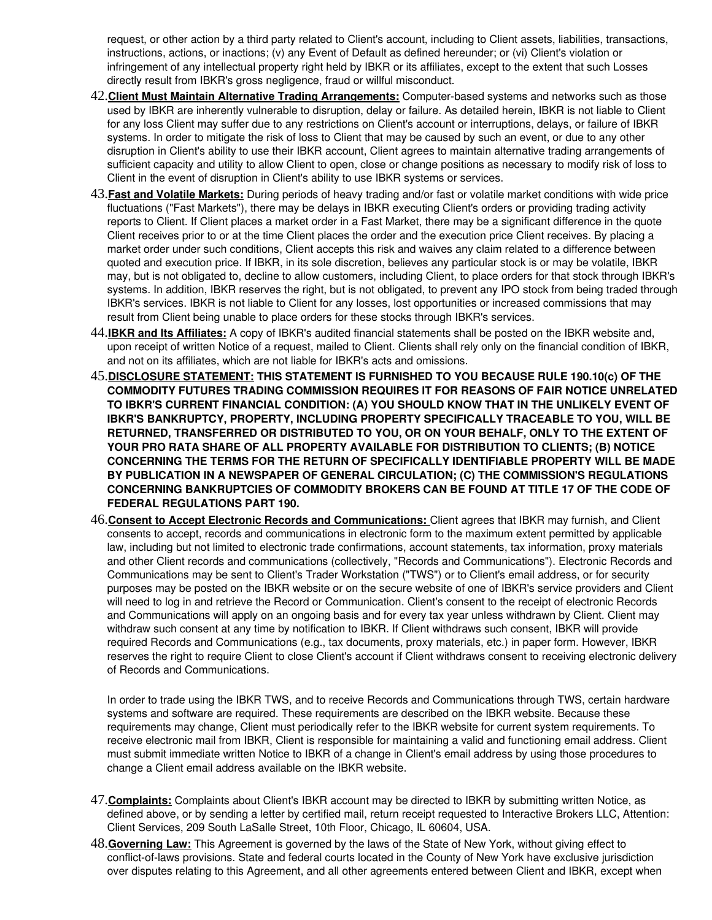request, or other action by a third party related to Client's account, including to Client assets, liabilities, transactions, instructions, actions, or inactions; (v) any Event of Default as defined hereunder; or (vi) Client's violation or infringement of any intellectual property right held by IBKR or its affiliates, except to the extent that such Losses directly result from IBKR's gross negligence, fraud or willful misconduct.

- 42. Client Must Maintain Alternative Trading Arrangements: Computer-based systems and networks such as those used by IBKR are inherently vulnerable to disruption, delay or failure. As detailed herein, IBKR is not liable to Client for any loss Client may suffer due to any restrictions on Client's account or interruptions, delays, or failure of IBKR systems. In order to mitigate the risk of loss to Client that may be caused by such an event, or due to any other disruption in Client's ability to use their IBKR account, Client agrees to maintain alternative trading arrangements of sufficient capacity and utility to allow Client to open, close or change positions as necessary to modify risk of loss to Client in the event of disruption in Client's ability to use IBKR systems or services.
- 43.**Fast and Volatile Markets:** During periods of heavy trading and/or fast or volatile market conditions with wide price fluctuations ("Fast Markets"), there may be delays in IBKR executing Client's orders or providing trading activity reports to Client. If Client places a market order in a Fast Market, there may be a significant difference in the quote Client receives prior to or at the time Client places the order and the execution price Client receives. By placing a market order under such conditions, Client accepts this risk and waives any claim related to a difference between quoted and execution price. If IBKR, in its sole discretion, believes any particular stock is or may be volatile, IBKR may, but is not obligated to, decline to allow customers, including Client, to place orders for that stock through IBKR's systems. In addition, IBKR reserves the right, but is not obligated, to prevent any IPO stock from being traded through IBKR's services. IBKR is not liable to Client for any losses, lost opportunities or increased commissions that may result from Client being unable to place orders for these stocks through IBKR's services.
- 44.**IBKR and Its Affiliates:** A copy of IBKR's audited financial statements shall be posted on the IBKR website and, upon receipt of written Notice of a request, mailed to Client. Clients shall rely only on the financial condition of IBKR, and not on its affiliates, which are not liable for IBKR's acts and omissions.
- 45.**DISCLOSURE STATEMENT: THIS STATEMENT IS FURNISHED TO YOU BECAUSE RULE 190.10(c) OF THE COMMODITY FUTURES TRADING COMMISSION REQUIRES IT FOR REASONS OF FAIR NOTICE UNRELATED TO IBKR'S CURRENT FINANCIAL CONDITION: (A) YOU SHOULD KNOW THAT IN THE UNLIKELY EVENT OF IBKR'S BANKRUPTCY, PROPERTY, INCLUDING PROPERTY SPECIFICALLY TRACEABLE TO YOU, WILL BE RETURNED, TRANSFERRED OR DISTRIBUTED TO YOU, OR ON YOUR BEHALF, ONLY TO THE EXTENT OF YOUR PRO RATA SHARE OF ALL PROPERTY AVAILABLE FOR DISTRIBUTION TO CLIENTS; (B) NOTICE CONCERNING THE TERMS FOR THE RETURN OF SPECIFICALLY IDENTIFIABLE PROPERTY WILL BE MADE BY PUBLICATION IN A NEWSPAPER OF GENERAL CIRCULATION; (C) THE COMMISSION'S REGULATIONS CONCERNING BANKRUPTCIES OF COMMODITY BROKERS CAN BE FOUND AT TITLE 17 OF THE CODE OF FEDERAL REGULATIONS PART 190.**
- 46. **Consent to Accept Electronic Records and Communications:**Client agrees that IBKR may furnish, and Client consents to accept, records and communications in electronic form to the maximum extent permitted by applicable law, including but not limited to electronic trade confirmations, account statements, tax information, proxy materials and other Client records and communications (collectively, "Records and Communications"). Electronic Records and Communications may be sent to Client's Trader Workstation ("TWS") or to Client's email address, or for security purposes may be posted on the IBKR website or on the secure website of one of IBKR's service providers and Client will need to log in and retrieve the Record or Communication. Client's consent to the receipt of electronic Records and Communications will apply on an ongoing basis and for every tax year unless withdrawn by Client. Client may withdraw such consent at any time by notification to IBKR. If Client withdraws such consent, IBKR will provide required Records and Communications (e.g., tax documents, proxy materials, etc.) in paper form. However, IBKR reserves the right to require Client to close Client's account if Client withdraws consent to receiving electronic delivery of Records and Communications.

In order to trade using the IBKR TWS, and to receive Records and Communications through TWS, certain hardware systems and software are required. These requirements are described on the IBKR website. Because these requirements may change, Client must periodically refer to the IBKR website for current system requirements. To receive electronic mail from IBKR, Client is responsible for maintaining a valid and functioning email address. Client must submit immediate written Notice to IBKR of a change in Client's email address by using those procedures to change a Client email address available on the IBKR website.

- 47.**Complaints:** Complaints about Client's IBKR account may be directed to IBKR by submitting written Notice, as defined above, or by sending a letter by certified mail, return receipt requested to Interactive Brokers LLC, Attention: Client Services, 209 South LaSalle Street, 10th Floor, Chicago, IL 60604, USA.
- 48.**Governing Law:** This Agreement is governed by the laws of the State of New York, without giving effect to conflict-of-laws provisions. State and federal courts located in the County of New York have exclusive jurisdiction over disputes relating to this Agreement, and all other agreements entered between Client and IBKR, except when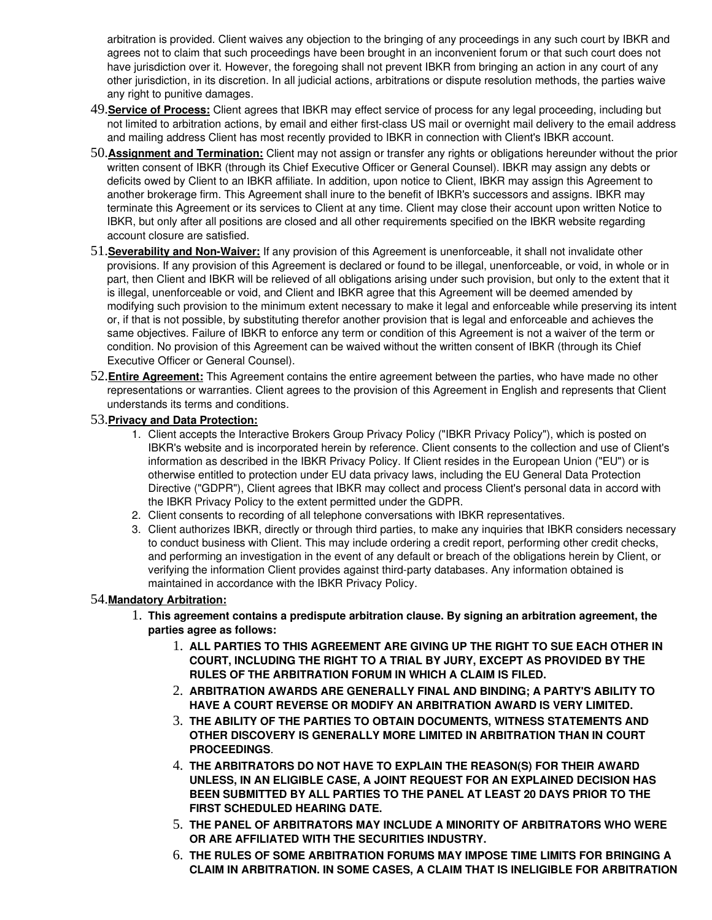arbitration is provided. Client waives any objection to the bringing of any proceedings in any such court by IBKR and agrees not to claim that such proceedings have been brought in an inconvenient forum or that such court does not have jurisdiction over it. However, the foregoing shall not prevent IBKR from bringing an action in any court of any other jurisdiction, in its discretion. In all judicial actions, arbitrations or dispute resolution methods, the parties waive any right to punitive damages.

- 49.**Service of Process:** Client agrees that IBKR may effect service of process for any legal proceeding, including but not limited to arbitration actions, by email and either first-class US mail or overnight mail delivery to the email address and mailing address Client has most recently provided to IBKR in connection with Client's IBKR account.
- 50.**Assignment and Termination:** Client may not assign or transfer any rights or obligations hereunder without the prior written consent of IBKR (through its Chief Executive Officer or General Counsel). IBKR may assign any debts or deficits owed by Client to an IBKR affiliate. In addition, upon notice to Client, IBKR may assign this Agreement to another brokerage firm. This Agreement shall inure to the benefit of IBKR's successors and assigns. IBKR may terminate this Agreement or its services to Client at any time. Client may close their account upon written Notice to IBKR, but only after all positions are closed and all other requirements specified on the IBKR website regarding account closure are satisfied.
- 51.**Severability and NonWaiver:** If any provision of this Agreement is unenforceable, it shall not invalidate other provisions. If any provision of this Agreement is declared or found to be illegal, unenforceable, or void, in whole or in part, then Client and IBKR will be relieved of all obligations arising under such provision, but only to the extent that it is illegal, unenforceable or void, and Client and IBKR agree that this Agreement will be deemed amended by modifying such provision to the minimum extent necessary to make it legal and enforceable while preserving its intent or, if that is not possible, by substituting therefor another provision that is legal and enforceable and achieves the same objectives. Failure of IBKR to enforce any term or condition of this Agreement is not a waiver of the term or condition. No provision of this Agreement can be waived without the written consent of IBKR (through its Chief Executive Officer or General Counsel).
- 52.**Entire Agreement:** This Agreement contains the entire agreement between the parties, who have made no other representations or warranties. Client agrees to the provision of this Agreement in English and represents that Client understands its terms and conditions.

#### 53.**Privacy and Data Protection:**

- 1. Client accepts the Interactive Brokers Group Privacy Policy ("IBKR Privacy Policy"), which is posted on IBKR's website and is incorporated herein by reference. Client consents to the collection and use of Client's information as described in the IBKR Privacy Policy. If Client resides in the European Union ("EU") or is otherwise entitled to protection under EU data privacy laws, including the EU General Data Protection Directive ("GDPR"), Client agrees that IBKR may collect and process Client's personal data in accord with the IBKR Privacy Policy to the extent permitted under the GDPR.
- 2. Client consents to recording of all telephone conversations with IBKR representatives.
- 3. Client authorizes IBKR, directly or through third parties, to make any inquiries that IBKR considers necessary to conduct business with Client. This may include ordering a credit report, performing other credit checks, and performing an investigation in the event of any default or breach of the obligations herein by Client, or verifying the information Client provides against third-party databases. Any information obtained is maintained in accordance with the IBKR Privacy Policy.

#### 54.**Mandatory Arbitration:**

- 1. **This agreement contains a predispute arbitration clause. By signing an arbitration agreement, the parties agree as follows:**
	- 1. **ALL PARTIES TO THIS AGREEMENT ARE GIVING UP THE RIGHT TO SUE EACH OTHER IN COURT, INCLUDING THE RIGHT TO A TRIAL BY JURY, EXCEPT AS PROVIDED BY THE RULES OF THE ARBITRATION FORUM IN WHICH A CLAIM IS FILED.**
	- 2. **ARBITRATION AWARDS ARE GENERALLY FINAL AND BINDING; A PARTY'S ABILITY TO HAVE A COURT REVERSE OR MODIFY AN ARBITRATION AWARD IS VERY LIMITED.**
	- 3. **THE ABILITY OF THE PARTIES TO OBTAIN DOCUMENTS, WITNESS STATEMENTS AND OTHER DISCOVERY IS GENERALLY MORE LIMITED IN ARBITRATION THAN IN COURT PROCEEDINGS**.
	- 4. **THE ARBITRATORS DO NOT HAVE TO EXPLAIN THE REASON(S) FOR THEIR AWARD UNLESS, IN AN ELIGIBLE CASE, A JOINT REQUEST FOR AN EXPLAINED DECISION HAS BEEN SUBMITTED BY ALL PARTIES TO THE PANEL AT LEAST 20 DAYS PRIOR TO THE FIRST SCHEDULED HEARING DATE.**
	- 5. **THE PANEL OF ARBITRATORS MAY INCLUDE A MINORITY OF ARBITRATORS WHO WERE OR ARE AFFILIATED WITH THE SECURITIES INDUSTRY.**
	- 6. **THE RULES OF SOME ARBITRATION FORUMS MAY IMPOSE TIME LIMITS FOR BRINGING A CLAIM IN ARBITRATION. IN SOME CASES, A CLAIM THAT IS INELIGIBLE FOR ARBITRATION**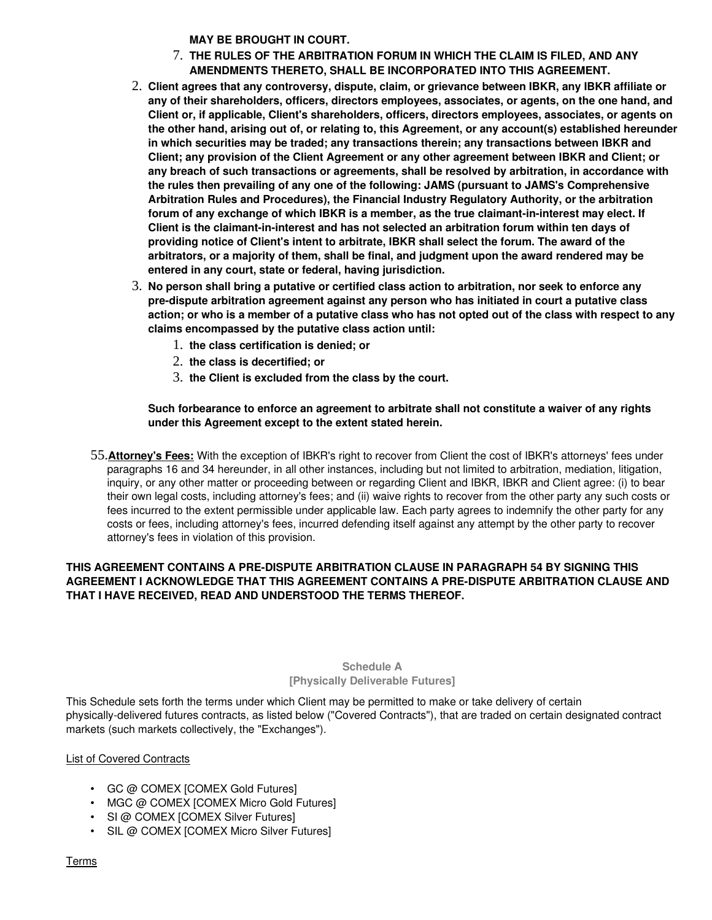**MAY BE BROUGHT IN COURT.**

- 7. **THE RULES OF THE ARBITRATION FORUM IN WHICH THE CLAIM IS FILED, AND ANY AMENDMENTS THERETO, SHALL BE INCORPORATED INTO THIS AGREEMENT.**
- 2. **Client agrees that any controversy, dispute, claim, or grievance between IBKR, any IBKR affiliate or any of their shareholders, officers, directors employees, associates, or agents, on the one hand, and Client or, if applicable, Client's shareholders, officers, directors employees, associates, or agents on the other hand, arising out of, or relating to, this Agreement, or any account(s) established hereunder in which securities may be traded; any transactions therein; any transactions between IBKR and Client; any provision of the Client Agreement or any other agreement between IBKR and Client; or any breach of such transactions or agreements, shall be resolved by arbitration, in accordance with the rules then prevailing of any one of the following: JAMS (pursuant to JAMS's Comprehensive Arbitration Rules and Procedures), the Financial Industry Regulatory Authority, or the arbitration**  forum of any exchange of which IBKR is a member, as the true claimant-in-interest may elect. If **Client is the claimantininterest and has not selected an arbitration forum within ten days of providing notice of Client's intent to arbitrate, IBKR shall select the forum. The award of the arbitrators, or a majority of them, shall be final, and judgment upon the award rendered may be entered in any court, state or federal, having jurisdiction.**
- 3. **No person shall bring a putative or certified class action to arbitration, nor seek to enforce any predispute arbitration agreement against any person who has initiated in court a putative class action; or who is a member of a putative class who has not opted out of the class with respect to any claims encompassed by the putative class action until:**
	- 1. **the class certification is denied; or**
	- 2. **the class is decertified; or**
	- 3. **the Client is excluded from the class by the court.**

### **Such forbearance to enforce an agreement to arbitrate shall not constitute a waiver of any rights under this Agreement except to the extent stated herein.**

55.**Attorney's Fees:** With the exception of IBKR's right to recover from Client the cost of IBKR's attorneys' fees under paragraphs 16 and 34 hereunder, in all other instances, including but not limited to arbitration, mediation, litigation, inquiry, or any other matter or proceeding between or regarding Client and IBKR, IBKR and Client agree: (i) to bear their own legal costs, including attorney's fees; and (ii) waive rights to recover from the other party any such costs or fees incurred to the extent permissible under applicable law. Each party agrees to indemnify the other party for any costs or fees, including attorney's fees, incurred defending itself against any attempt by the other party to recover attorney's fees in violation of this provision.

### THIS AGREEMENT CONTAINS A PRE-DISPUTE ARBITRATION CLAUSE IN PARAGRAPH 54 BY SIGNING THIS **AGREEMENT I ACKNOWLEDGE THAT THIS AGREEMENT CONTAINS A PRE-DISPUTE ARBITRATION CLAUSE AND THAT I HAVE RECEIVED, READ AND UNDERSTOOD THE TERMS THEREOF.**

### **Schedule A [Physically Deliverable Futures]**

This Schedule sets forth the terms under which Client may be permitted to make or take delivery of certain physically-delivered futures contracts, as listed below ("Covered Contracts"), that are traded on certain designated contract markets (such markets collectively, the "Exchanges").

### List of Covered Contracts

- GC @ COMEX [COMEX Gold Futures]
- MGC @ COMEX [COMEX Micro Gold Futures]
- SI @ COMEX [COMEX Silver Futures]
- SIL @ COMEX [COMEX Micro Silver Futures]